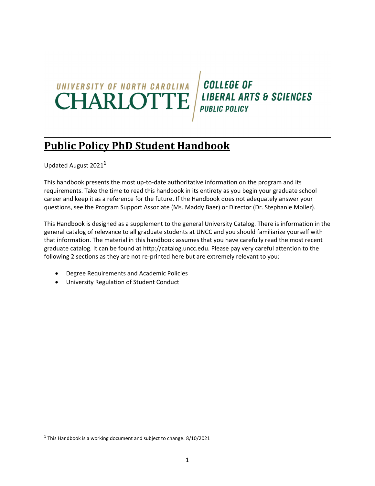## UNIVERSITY OF NORTH CAROLINA **CHARLOTTE**

**COLLEGE OF LIBERAL ARTS & SCIENCES PUBLIC POLICY** 

## **Public Policy PhD Student Handbook**

Updated August 2021**<sup>1</sup>**

This handbook presents the most up-to-date authoritative information on the program and its requirements. Take the time to read this handbook in its entirety as you begin your graduate school career and keep it as a reference for the future. If the Handbook does not adequately answer your questions, see the Program Support Associate (Ms. Maddy Baer) or Director (Dr. Stephanie Moller).

This Handbook is designed as a supplement to the general University Catalog. There is information in the general catalog of relevance to all graduate students at UNCC and you should familiarize yourself with that information. The material in this handbook assumes that you have carefully read the most recent graduate catalog. It can be found at http://catalog.uncc.edu. Please pay very careful attention to the following 2 sections as they are not re-printed here but are extremely relevant to you:

- Degree Requirements and Academic Policies
- University Regulation of Student Conduct

<sup>1</sup> This Handbook is a working document and subject to change. 8/10/2021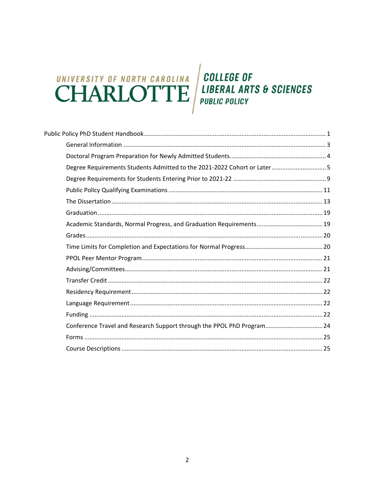# UNIVERSITY OF NORTH CAROLINA **CHARLOTTE**

**COLLEGE OF LIBERAL ARTS & SCIENCES PUBLIC POLICY** 

| Degree Requirements Students Admitted to the 2021-2022 Cohort or Later 5 |  |
|--------------------------------------------------------------------------|--|
|                                                                          |  |
|                                                                          |  |
|                                                                          |  |
|                                                                          |  |
|                                                                          |  |
|                                                                          |  |
|                                                                          |  |
|                                                                          |  |
|                                                                          |  |
|                                                                          |  |
|                                                                          |  |
|                                                                          |  |
|                                                                          |  |
| Conference Travel and Research Support through the PPOL PhD Program 24   |  |
|                                                                          |  |
|                                                                          |  |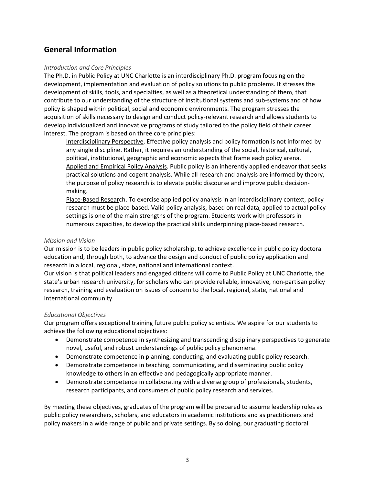## **General Information**

#### *Introduction and Core Principles*

The Ph.D. in Public Policy at UNC Charlotte is an interdisciplinary Ph.D. program focusing on the development, implementation and evaluation of policy solutions to public problems. It stresses the development of skills, tools, and specialties, as well as a theoretical understanding of them, that contribute to our understanding of the structure of institutional systems and sub‐systems and of how policy is shaped within political, social and economic environments. The program stresses the acquisition of skills necessary to design and conduct policy-relevant research and allows students to develop individualized and innovative programs of study tailored to the policy field of their career interest. The program is based on three core principles:

Interdisciplinary Perspective. Effective policy analysis and policy formation is not informed by any single discipline. Rather, it requires an understanding of the social, historical, cultural, political, institutional, geographic and economic aspects that frame each policy arena. Applied and Empirical Policy Analysis. Public policy is an inherently applied endeavor that seeks practical solutions and cogent analysis. While all research and analysis are informed by theory, the purpose of policy research is to elevate public discourse and improve public decision‐ making.

Place-Based Research. To exercise applied policy analysis in an interdisciplinary context, policy research must be place‐based. Valid policy analysis, based on real data, applied to actual policy settings is one of the main strengths of the program. Students work with professors in numerous capacities, to develop the practical skills underpinning place‐based research.

#### *Mission and Vision*

Our mission is to be leaders in public policy scholarship, to achieve excellence in public policy doctoral education and, through both, to advance the design and conduct of public policy application and research in a local, regional, state, national and international context.

Our vision is that political leaders and engaged citizens will come to Public Policy at UNC Charlotte, the state's urban research university, for scholars who can provide reliable, innovative, non‐partisan policy research, training and evaluation on issues of concern to the local, regional, state, national and international community.

#### *Educational Objectives*

Our program offers exceptional training future public policy scientists. We aspire for our students to achieve the following educational objectives:

- Demonstrate competence in synthesizing and transcending disciplinary perspectives to generate novel, useful, and robust understandings of public policy phenomena.
- Demonstrate competence in planning, conducting, and evaluating public policy research.
- Demonstrate competence in teaching, communicating, and disseminating public policy knowledge to others in an effective and pedagogically appropriate manner.
- Demonstrate competence in collaborating with a diverse group of professionals, students, research participants, and consumers of public policy research and services.

By meeting these objectives, graduates of the program will be prepared to assume leadership roles as public policy researchers, scholars, and educators in academic institutions and as practitioners and policy makers in a wide range of public and private settings. By so doing, our graduating doctoral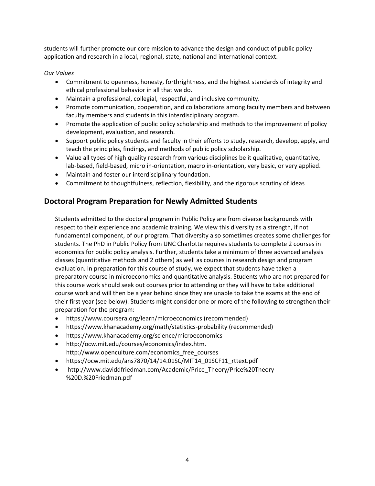students will further promote our core mission to advance the design and conduct of public policy application and research in a local, regional, state, national and international context.

#### *Our Values*

- Commitment to openness, honesty, forthrightness, and the highest standards of integrity and ethical professional behavior in all that we do.
- Maintain a professional, collegial, respectful, and inclusive community.
- Promote communication, cooperation, and collaborations among faculty members and between faculty members and students in this interdisciplinary program.
- Promote the application of public policy scholarship and methods to the improvement of policy development, evaluation, and research.
- Support public policy students and faculty in their efforts to study, research, develop, apply, and teach the principles, findings, and methods of public policy scholarship.
- Value all types of high quality research from various disciplines be it qualitative, quantitative, lab‐based, field‐based, micro in‐orientation, macro in‐orientation, very basic, or very applied.
- Maintain and foster our interdisciplinary foundation.
- Commitment to thoughtfulness, reflection, flexibility, and the rigorous scrutiny of ideas

## **Doctoral Program Preparation for Newly Admitted Students**

Students admitted to the doctoral program in Public Policy are from diverse backgrounds with respect to their experience and academic training. We view this diversity as a strength, if not fundamental component, of our program. That diversity also sometimes creates some challenges for students. The PhD in Public Policy from UNC Charlotte requires students to complete 2 courses in economics for public policy analysis. Further, students take a minimum of three advanced analysis classes (quantitative methods and 2 others) as well as courses in research design and program evaluation. In preparation for this course of study, we expect that students have taken a preparatory course in microeconomics and quantitative analysis. Students who are not prepared for this course work should seek out courses prior to attending or they will have to take additional course work and will then be a year behind since they are unable to take the exams at the end of their first year (see below). Students might consider one or more of the following to strengthen their preparation for the program:

- https://www.coursera.org/learn/microeconomics (recommended)
- https://www.khanacademy.org/math/statistics‐probability (recommended)
- https://www.khanacademy.org/science/microeconomics
- http://ocw.mit.edu/courses/economics/index.htm. http://www.openculture.com/economics\_free\_courses
- https://ocw.mit.edu/ans7870/14/14.01SC/MIT14\_01SCF11\_rttext.pdf
- http://www.daviddfriedman.com/Academic/Price\_Theory/Price%20Theory-%20D.%20Friedman.pdf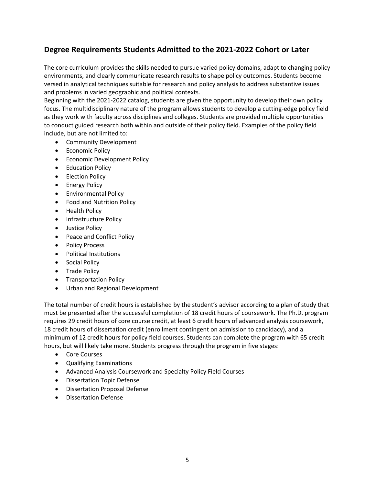## **Degree Requirements Students Admitted to the 2021‐2022 Cohort or Later**

The core curriculum provides the skills needed to pursue varied policy domains, adapt to changing policy environments, and clearly communicate research results to shape policy outcomes. Students become versed in analytical techniques suitable for research and policy analysis to address substantive issues and problems in varied geographic and political contexts.

Beginning with the 2021‐2022 catalog, students are given the opportunity to develop their own policy focus. The multidisciplinary nature of the program allows students to develop a cutting‐edge policy field as they work with faculty across disciplines and colleges. Students are provided multiple opportunities to conduct guided research both within and outside of their policy field. Examples of the policy field include, but are not limited to:

- Community Development
- **•** Economic Policy
- **•** Economic Development Policy
- **•** Education Policy
- Election Policy
- **•** Energy Policy
- **•** Environmental Policy
- Food and Nutrition Policy
- Health Policy
- Infrastructure Policy
- Justice Policy
- Peace and Conflict Policy
- Policy Process
- Political Institutions
- **•** Social Policy
- Trade Policy
- **•** Transportation Policy
- Urban and Regional Development

The total number of credit hours is established by the student's advisor according to a plan of study that must be presented after the successful completion of 18 credit hours of coursework. The Ph.D. program requires 29 credit hours of core course credit, at least 6 credit hours of advanced analysis coursework, 18 credit hours of dissertation credit (enrollment contingent on admission to candidacy), and a minimum of 12 credit hours for policy field courses. Students can complete the program with 65 credit hours, but will likely take more. Students progress through the program in five stages:

- Core Courses
- Qualifying Examinations
- Advanced Analysis Coursework and Specialty Policy Field Courses
- Dissertation Topic Defense
- Dissertation Proposal Defense
- Dissertation Defense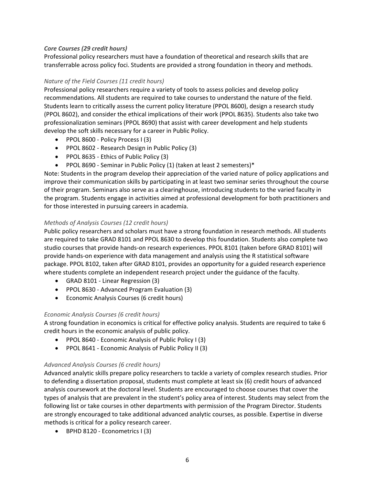#### *Core Courses (29 credit hours)*

Professional policy researchers must have a foundation of theoretical and research skills that are transferrable across policy foci. Students are provided a strong foundation in theory and methods.

#### *Nature of the Field Courses (11 credit hours)*

Professional policy researchers require a variety of tools to assess policies and develop policy recommendations. All students are required to take courses to understand the nature of the field. Students learn to critically assess the current policy literature (PPOL 8600), design a research study (PPOL 8602), and consider the ethical implications of their work (PPOL 8635). Students also take two professionalization seminars (PPOL 8690) that assist with career development and help students develop the soft skills necessary for a career in Public Policy.

- PPOL 8600 Policy Process I (3)
- PPOL 8602 Research Design in Public Policy (3)
- PPOL 8635 Ethics of Public Policy (3)
- PPOL 8690 Seminar in Public Policy (1) (taken at least 2 semesters)\*

Note: Students in the program develop their appreciation of the varied nature of policy applications and improve their communication skills by participating in at least two seminar series throughout the course of their program. Seminars also serve as a clearinghouse, introducing students to the varied faculty in the program. Students engage in activities aimed at professional development for both practitioners and for those interested in pursuing careers in academia.

#### *Methods of Analysis Courses (12 credit hours)*

Public policy researchers and scholars must have a strong foundation in research methods. All students are required to take GRAD 8101 and PPOL 8630 to develop this foundation. Students also complete two studio courses that provide hands‐on research experiences. PPOL 8101 (taken before GRAD 8101) will provide hands‐on experience with data management and analysis using the R statistical software package. PPOL 8102, taken after GRAD 8101, provides an opportunity for a guided research experience where students complete an independent research project under the guidance of the faculty.

- GRAD 8101 ‐ Linear Regression (3)
- PPOL 8630 Advanced Program Evaluation (3)
- Economic Analysis Courses (6 credit hours)

#### *Economic Analysis Courses (6 credit hours)*

A strong foundation in economics is critical for effective policy analysis. Students are required to take 6 credit hours in the economic analysis of public policy.

- PPOL 8640 Economic Analysis of Public Policy I (3)
- PPOL 8641 Economic Analysis of Public Policy II (3)

#### *Advanced Analysis Courses (6 credit hours)*

Advanced analytic skills prepare policy researchers to tackle a variety of complex research studies. Prior to defending a dissertation proposal, students must complete at least six (6) credit hours of advanced analysis coursework at the doctoral level. Students are encouraged to choose courses that cover the types of analysis that are prevalent in the student's policy area of interest. Students may select from the following list or take courses in other departments with permission of the Program Director. Students are strongly encouraged to take additional advanced analytic courses, as possible. Expertise in diverse methods is critical for a policy research career.

● BPHD 8120 - Econometrics I (3)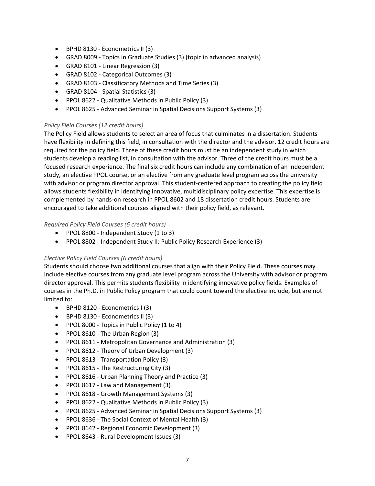- BPHD 8130 Econometrics II (3)
- GRAD 8009 ‐ Topics in Graduate Studies (3) (topic in advanced analysis)
- GRAD 8101 ‐ Linear Regression (3)
- GRAD 8102 ‐ Categorical Outcomes (3)
- GRAD 8103 ‐ Classificatory Methods and Time Series (3)
- GRAD 8104 Spatial Statistics (3)
- PPOL 8622 Qualitative Methods in Public Policy (3)
- PPOL 8625 Advanced Seminar in Spatial Decisions Support Systems (3)

#### *Policy Field Courses (12 credit hours)*

The Policy Field allows students to select an area of focus that culminates in a dissertation. Students have flexibility in defining this field, in consultation with the director and the advisor. 12 credit hours are required for the policy field. Three of these credit hours must be an independent study in which students develop a reading list, in consultation with the advisor. Three of the credit hours must be a focused research experience. The final six credit hours can include any combination of an independent study, an elective PPOL course, or an elective from any graduate level program across the university with advisor or program director approval. This student‐centered approach to creating the policy field allows students flexibility in identifying innovative, multidisciplinary policy expertise. This expertise is complemented by hands‐on research in PPOL 8602 and 18 dissertation credit hours. Students are encouraged to take additional courses aligned with their policy field, as relevant.

#### *Required Policy Field Courses (6 credit hours)*

- PPOL 8800 Independent Study (1 to 3)
- PPOL 8802 Independent Study II: Public Policy Research Experience (3)

#### *Elective Policy Field Courses (6 credit hours)*

Students should choose two additional courses that align with their Policy Field. These courses may include elective courses from any graduate level program across the University with advisor or program director approval. This permits students flexibility in identifying innovative policy fields. Examples of courses in the Ph.D. in Public Policy program that could count toward the elective include, but are not limited to:

- BPHD 8120 Econometrics I (3)
- BPHD 8130 Econometrics II (3)
- PPOL 8000 Topics in Public Policy (1 to 4)
- PPOL 8610 The Urban Region (3)
- PPOL 8611 Metropolitan Governance and Administration (3)
- PPOL 8612 Theory of Urban Development (3)
- PPOL 8613 Transportation Policy (3)
- PPOL 8615 The Restructuring City (3)
- PPOL 8616 Urban Planning Theory and Practice (3)
- PPOL 8617 Law and Management (3)
- PPOL 8618 Growth Management Systems (3)
- PPOL 8622 Qualitative Methods in Public Policy (3)
- PPOL 8625 Advanced Seminar in Spatial Decisions Support Systems (3)
- PPOL 8636 The Social Context of Mental Health (3)
- PPOL 8642 Regional Economic Development (3)
- PPOL 8643 Rural Development Issues (3)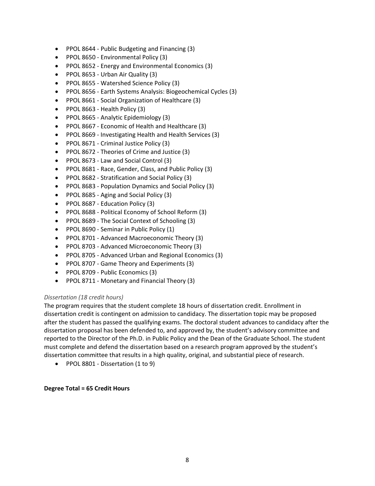- PPOL 8644 Public Budgeting and Financing (3)
- PPOL 8650 Environmental Policy (3)
- PPOL 8652 Energy and Environmental Economics (3)
- PPOL 8653 Urban Air Quality (3)
- PPOL 8655 Watershed Science Policy (3)
- PPOL 8656 Earth Systems Analysis: Biogeochemical Cycles (3)
- PPOL 8661 Social Organization of Healthcare (3)
- PPOL 8663 Health Policy (3)
- PPOL 8665 Analytic Epidemiology (3)
- PPOL 8667 Economic of Health and Healthcare (3)
- PPOL 8669 Investigating Health and Health Services (3)
- PPOL 8671 Criminal Justice Policy (3)
- PPOL 8672 Theories of Crime and Justice (3)
- PPOL 8673 Law and Social Control (3)
- PPOL 8681 Race, Gender, Class, and Public Policy (3)
- PPOL 8682 Stratification and Social Policy (3)
- PPOL 8683 Population Dynamics and Social Policy (3)
- PPOL 8685 Aging and Social Policy (3)
- PPOL 8687 Education Policy (3)
- PPOL 8688 Political Economy of School Reform (3)
- PPOL 8689 The Social Context of Schooling (3)
- PPOL 8690 Seminar in Public Policy (1)
- PPOL 8701 Advanced Macroeconomic Theory (3)
- PPOL 8703 Advanced Microeconomic Theory (3)
- PPOL 8705 Advanced Urban and Regional Economics (3)
- PPOL 8707 Game Theory and Experiments (3)
- PPOL 8709 Public Economics (3)
- PPOL 8711 Monetary and Financial Theory (3)

#### *Dissertation (18 credit hours)*

The program requires that the student complete 18 hours of dissertation credit. Enrollment in dissertation credit is contingent on admission to candidacy. The dissertation topic may be proposed after the student has passed the qualifying exams. The doctoral student advances to candidacy after the dissertation proposal has been defended to, and approved by, the student's advisory committee and reported to the Director of the Ph.D. in Public Policy and the Dean of the Graduate School. The student must complete and defend the dissertation based on a research program approved by the student's dissertation committee that results in a high quality, original, and substantial piece of research.

● PPOL 8801 - Dissertation (1 to 9)

#### **Degree Total = 65 Credit Hours**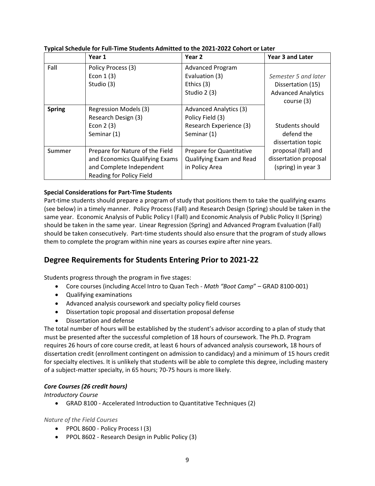|               | Year 1                                                                                                                    | Year <sub>2</sub>                                                                           | <b>Year 3 and Later</b>                                                                                                   |
|---------------|---------------------------------------------------------------------------------------------------------------------------|---------------------------------------------------------------------------------------------|---------------------------------------------------------------------------------------------------------------------------|
| Fall          | Policy Process (3)<br>Econ $1(3)$<br>Studio (3)                                                                           | <b>Advanced Program</b><br>Evaluation (3)<br>Ethics (3)<br>Studio 2 (3)                     | Semester 5 and later<br>Dissertation (15)<br><b>Advanced Analytics</b><br>course (3)                                      |
| <b>Spring</b> | Regression Models (3)<br>Research Design (3)<br>Econ $2(3)$<br>Seminar (1)                                                | <b>Advanced Analytics (3)</b><br>Policy Field (3)<br>Research Experience (3)<br>Seminar (1) | Students should<br>defend the<br>dissertation topic<br>proposal (fall) and<br>dissertation proposal<br>(spring) in year 3 |
| <b>Summer</b> | Prepare for Nature of the Field<br>and Economics Qualifying Exams<br>and Complete Independent<br>Reading for Policy Field | Prepare for Quantitative<br>Qualifying Exam and Read<br>in Policy Area                      |                                                                                                                           |

#### **Typical Schedule for Full‐Time Students Admitted to the 2021‐2022 Cohort or Later**

#### **Special Considerations for Part‐Time Students**

Part-time students should prepare a program of study that positions them to take the qualifying exams (see below) in a timely manner. Policy Process (Fall) and Research Design (Spring) should be taken in the same year. Economic Analysis of Public Policy I (Fall) and Economic Analysis of Public Policy II (Spring) should be taken in the same year. Linear Regression (Spring) and Advanced Program Evaluation (Fall) should be taken consecutively. Part‐time students should also ensure that the program of study allows them to complete the program within nine years as courses expire after nine years.

## **Degree Requirements for Students Entering Prior to 2021‐22**

Students progress through the program in five stages:

- Core courses (including Accel Intro to Quan Tech ‐ *Math "Boot Camp*" GRAD 8100‐001)
- Qualifying examinations
- Advanced analysis coursework and specialty policy field courses
- Dissertation topic proposal and dissertation proposal defense
- Dissertation and defense

The total number of hours will be established by the student's advisor according to a plan of study that must be presented after the successful completion of 18 hours of coursework. The Ph.D. Program requires 26 hours of core course credit, at least 6 hours of advanced analysis coursework, 18 hours of dissertation credit (enrollment contingent on admission to candidacy) and a minimum of 15 hours credit for specialty electives. It is unlikely that students will be able to complete this degree, including mastery of a subject-matter specialty, in 65 hours; 70-75 hours is more likely.

#### *Core Courses (26 credit hours)*

*Introductory Course*

GRAD 8100 ‐ Accelerated Introduction to Quantitative Techniques (2)

#### *Nature of the Field Courses*

- PPOL 8600 Policy Process I (3)
- PPOL 8602 Research Design in Public Policy (3)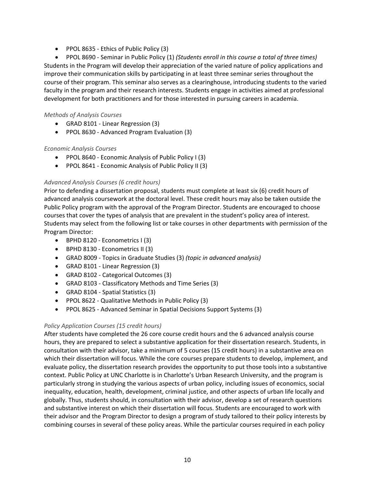● PPOL 8635 - Ethics of Public Policy (3)

 PPOL 8690 ‐ Seminar in Public Policy (1) *(Students enroll in this course a total of three times)* Students in the Program will develop their appreciation of the varied nature of policy applications and improve their communication skills by participating in at least three seminar series throughout the course of their program. This seminar also serves as a clearinghouse, introducing students to the varied faculty in the program and their research interests. Students engage in activities aimed at professional development for both practitioners and for those interested in pursuing careers in academia.

#### *Methods of Analysis Courses*

- GRAD 8101 ‐ Linear Regression (3)
- PPOL 8630 Advanced Program Evaluation (3)

#### *Economic Analysis Courses*

- PPOL 8640 Economic Analysis of Public Policy I (3)
- PPOL 8641 Economic Analysis of Public Policy II (3)

#### *Advanced Analysis Courses (6 credit hours)*

Prior to defending a dissertation proposal, students must complete at least six (6) credit hours of advanced analysis coursework at the doctoral level. These credit hours may also be taken outside the Public Policy program with the approval of the Program Director. Students are encouraged to choose courses that cover the types of analysis that are prevalent in the student's policy area of interest. Students may select from the following list or take courses in other departments with permission of the Program Director:

- BPHD 8120 Econometrics I (3)
- BPHD 8130 Econometrics II (3)
- GRAD 8009 ‐ Topics in Graduate Studies (3) *(topic in advanced analysis)*
- GRAD 8101 ‐ Linear Regression (3)
- GRAD 8102 ‐ Categorical Outcomes (3)
- GRAD 8103 ‐ Classificatory Methods and Time Series (3)
- GRAD 8104 ‐ Spatial Statistics (3)
- PPOL 8622 Qualitative Methods in Public Policy (3)
- PPOL 8625 Advanced Seminar in Spatial Decisions Support Systems (3)

#### *Policy Application Courses (15 credit hours)*

After students have completed the 26 core course credit hours and the 6 advanced analysis course hours, they are prepared to select a substantive application for their dissertation research. Students, in consultation with their advisor, take a minimum of 5 courses (15 credit hours) in a substantive area on which their dissertation will focus. While the core courses prepare students to develop, implement, and evaluate policy, the dissertation research provides the opportunity to put those tools into a substantive context. Public Policy at UNC Charlotte is in Charlotte's Urban Research University, and the program is particularly strong in studying the various aspects of urban policy, including issues of economics, social inequality, education, health, development, criminal justice, and other aspects of urban life locally and globally. Thus, students should, in consultation with their advisor, develop a set of research questions and substantive interest on which their dissertation will focus. Students are encouraged to work with their advisor and the Program Director to design a program of study tailored to their policy interests by combining courses in several of these policy areas. While the particular courses required in each policy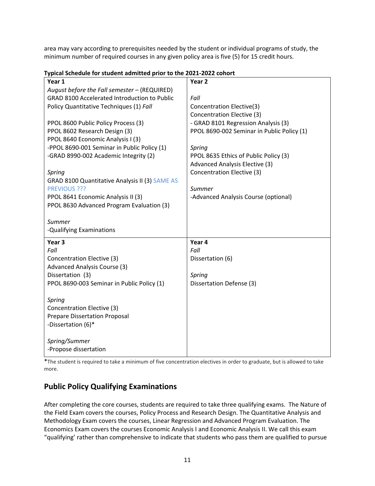area may vary according to prerequisites needed by the student or individual programs of study, the minimum number of required courses in any given policy area is five (5) for 15 credit hours.

| Year 1                                              | Year <sub>2</sub>                          |  |
|-----------------------------------------------------|--------------------------------------------|--|
| August before the Fall semester - (REQUIRED)        |                                            |  |
| <b>GRAD 8100 Accelerated Introduction to Public</b> | Fall                                       |  |
| Policy Quantitative Techniques (1) Fall             | Concentration Elective(3)                  |  |
|                                                     | Concentration Elective (3)                 |  |
| PPOL 8600 Public Policy Process (3)                 | - GRAD 8101 Regression Analysis (3)        |  |
| PPOL 8602 Research Design (3)                       | PPOL 8690-002 Seminar in Public Policy (1) |  |
| PPOL 8640 Economic Analysis I (3)                   |                                            |  |
| -PPOL 8690-001 Seminar in Public Policy (1)         | Spring                                     |  |
| -GRAD 8990-002 Academic Integrity (2)               | PPOL 8635 Ethics of Public Policy (3)      |  |
|                                                     | Advanced Analysis Elective (3)             |  |
| Spring                                              | Concentration Elective (3)                 |  |
| GRAD 8100 Quantitative Analysis II (3) SAME AS      |                                            |  |
| PREVIOUS ???                                        | Summer                                     |  |
| PPOL 8641 Economic Analysis II (3)                  | -Advanced Analysis Course (optional)       |  |
| PPOL 8630 Advanced Program Evaluation (3)           |                                            |  |
|                                                     |                                            |  |
| Summer                                              |                                            |  |
| -Qualifying Examinations                            |                                            |  |
| Year <sub>3</sub>                                   | Year 4                                     |  |
| Fall                                                | Fall                                       |  |
| Concentration Elective (3)                          | Dissertation (6)                           |  |
| Advanced Analysis Course (3)                        |                                            |  |
| Dissertation (3)                                    | Spring                                     |  |
| PPOL 8690-003 Seminar in Public Policy (1)          | Dissertation Defense (3)                   |  |
|                                                     |                                            |  |
| Spring                                              |                                            |  |
| Concentration Elective (3)                          |                                            |  |
| <b>Prepare Dissertation Proposal</b>                |                                            |  |
| -Dissertation (6)*                                  |                                            |  |
|                                                     |                                            |  |
|                                                     |                                            |  |
| Spring/Summer<br>-Propose dissertation              |                                            |  |

**Typical Schedule for student admitted prior to the 2021‐2022 cohort** 

\*The student is required to take a minimum of five concentration electives in order to graduate, but is allowed to take more.

## **Public Policy Qualifying Examinations**

After completing the core courses, students are required to take three qualifying exams. The Nature of the Field Exam covers the courses, Policy Process and Research Design. The Quantitative Analysis and Methodology Exam covers the courses, Linear Regression and Advanced Program Evaluation. The Economics Exam covers the courses Economic Analysis I and Economic Analysis II. We call this exam "qualifying' rather than comprehensive to indicate that students who pass them are qualified to pursue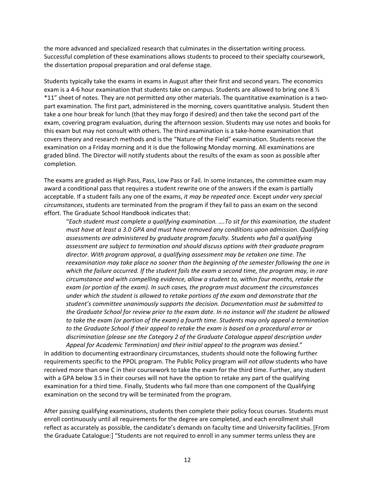the more advanced and specialized research that culminates in the dissertation writing process. Successful completion of these examinations allows students to proceed to their specialty coursework, the dissertation proposal preparation and oral defense stage.

Students typically take the exams in exams in August after their first and second years. The economics exam is a 4-6 hour examination that students take on campus. Students are allowed to bring one 8  $\frac{1}{2}$ \*11" sheet of notes. They are not permitted *any* other materials. The quantitative examination is a two‐ part examination. The first part, administered in the morning, covers quantitative analysis. Student then take a one hour break for lunch (that they may forgo if desired) and then take the second part of the exam, covering program evaluation, during the afternoon session. Students may use notes and books for this exam but may not consult with others. The third examination is a take‐home examination that covers theory and research methods and is the "Nature of the Field" examination. Students receive the examination on a Friday morning and it is due the following Monday morning. All examinations are graded blind. The Director will notify students about the results of the exam as soon as possible after completion.

The exams are graded as High Pass, Pass, Low Pass or Fail. In some instances, the committee exam may award a conditional pass that requires a student rewrite one of the answers if the exam is partially acceptable. If a student fails any one of the exams, *it may be repeated once*. Except *under very special circumstances*, students are terminated from the program if they fail to pass an exam on the second effort. The Graduate School Handbook indicates that:

"*Each student must complete a qualifying examination. ….To sit for this examination, the student must have at least a 3.0 GPA and must have removed any conditions upon admission. Qualifying assessments are administered by graduate program faculty. Students who fail a qualifying assessment are subject to termination and should discuss options with their graduate program director. With program approval, a qualifying assessment may be retaken one time. The reexamination may take place no sooner than the beginning of the semester following the one in which the failure occurred. If the student fails the exam a second time, the program may, in rare circumstance and with compelling evidence, allow a student to, within four months, retake the exam (or portion of the exam). In such cases, the program must document the circumstances under which the student is allowed to retake portions of the exam and demonstrate that the student's committee unanimously supports the decision. Documentation must be submitted to the Graduate School for review prior to the exam date. In no instance will the student be allowed to take the exam (or portion of the exam) a fourth time. Students may only appeal a termination to the Graduate School if their appeal to retake the exam is based on a procedural error or discrimination (please see the Category 2 of the Graduate Catalogue appeal description under Appeal for Academic Termination) and their initial appeal to the program was denied*."

In addition to documenting extraordinary circumstances, students should note the following further requirements specific to the PPOL program. The Public Policy program *will not allow* students who have received more than one C in their coursework to take the exam for the third time. Further, any student with a GPA below 3.5 in their courses will not have the option to retake any part of the qualifying examination for a third time. Finally, Students who fail more than one component of the Qualifying examination on the second try will be terminated from the program.

After passing qualifying examinations, students then complete their policy focus courses. Students must enroll continuously until all requirements for the degree are completed, and each enrollment shall reflect as accurately as possible, the candidate's demands on faculty time and University facilities. [From the Graduate Catalogue:] "Students are not required to enroll in any summer terms unless they are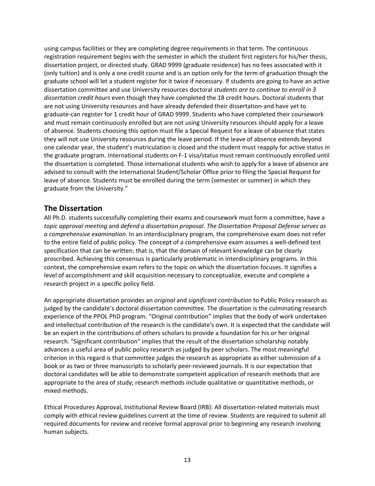using campus facilities or they are completing degree requirements in that term. The continuous registration requirement begins with the semester in which the student first registers for his/her thesis, dissertation project, or directed study. GRAD 9999 (graduate residence) has no fees associated with it (only tuition) and is only a one credit course and is an option only for the term of graduation though the graduate school will let a student register for it twice if necessary. If students are going to have an active dissertation committee and use University resources doctoral *students are to continue to enroll in 3 dissertation credit hours* even though they have completed the 18 credit hours. Doctoral students that are not using University resources and have already defended their dissertation‐and have yet to graduate‐can register for 1 credit hour of GRAD 9999. Students who have completed their coursework and must remain continuously enrolled but are not using University resources should apply for a leave of absence. Students choosing this option must file a Special Request for a leave of absence that states they will not use University resources during the leave period. If the leave of absence extends beyond one calendar year, the student's matriculation is closed and the student must reapply for active status in the graduate program. International students on F‐1 visa/status must remain continuously enrolled until the dissertation is completed. Those international students who wish to apply for a leave of absence are advised to consult with the International Student/Scholar Office prior to filing the Special Request for leave of absence. Students must be enrolled during the term (semester or summer) in which they graduate from the University."

### **The Dissertation**

All Ph.D. students successfully completing their exams and coursework must form a committee, have a *topic approval meeting* and *defend a dissertation proposal*. *The Dissertation Proposal Defense serves as a comprehensive examination*. In an interdisciplinary program, the comprehensive exam does not refer to the entire field of public policy. The concept of a comprehensive exam assumes a well‐defined test specification that can be written; that is, that the domain of relevant knowledge can be clearly proscribed. Achieving this consensus is particularly problematic in interdisciplinary programs. In this context, the comprehensive exam refers to the topic on which the dissertation focuses. It signifies a level of accomplishment and skill acquisition necessary to conceptualize, execute and complete a research project in a specific policy field.

An appropriate dissertation provides an *original* and *significant contribution* to Public Policy research as judged by the candidate's doctoral dissertation committee. The dissertation is the culminating research experience of the PPOL PhD program. "Original contribution" implies that the body of work undertaken and intellectual contribution of the research is the candidate's own. It is expected that the candidate will be an expert in the contributions of others scholars to provide a foundation for his or her original research. "Significant contribution" implies that the result of the dissertation scholarship notably advances a useful area of public policy research as judged by peer scholars. The most meaningful criterion in this regard is that committee judges the research as appropriate as either submission of a book or as two or three manuscripts to scholarly peer-reviewed journals. It is our expectation that doctoral candidates will be able to demonstrate competent application of research methods that are appropriate to the area of study; research methods include qualitative or quantitative methods, or mixed methods.

Ethical Procedures Approval, Institutional Review Board (IRB): All dissertation‐related materials must comply with ethical review guidelines current at the time of review. Students are required to submit all required documents for review and receive formal approval prior to beginning any research involving human subjects.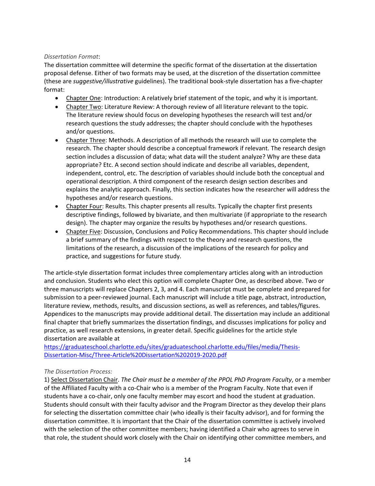#### *Dissertation Format*:

The dissertation committee will determine the specific format of the dissertation at the dissertation proposal defense. Either of two formats may be used, at the discretion of the dissertation committee (these are *suggestive/illustrative* guidelines). The traditional book‐style dissertation has a five‐chapter format:

- Chapter One: Introduction: A relatively brief statement of the topic, and why it is important.
- Chapter Two: Literature Review: A thorough review of all literature relevant to the topic. The literature review should focus on developing hypotheses the research will test and/or research questions the study addresses; the chapter should conclude with the hypotheses and/or questions.
- Chapter Three: Methods. A description of all methods the research will use to complete the research. The chapter should describe a conceptual framework if relevant. The research design section includes a discussion of data; what data will the student analyze? Why are these data appropriate? Etc. A second section should indicate and describe all variables, dependent, independent, control, etc. The description of variables should include both the conceptual and operational description. A third component of the research design section describes and explains the analytic approach. Finally, this section indicates how the researcher will address the hypotheses and/or research questions.
- Chapter Four: Results. This chapter presents all results. Typically the chapter first presents descriptive findings, followed by bivariate, and then multivariate (if appropriate to the research design). The chapter may organize the results by hypotheses and/or research questions.
- Chapter Five: Discussion, Conclusions and Policy Recommendations. This chapter should include a brief summary of the findings with respect to the theory and research questions, the limitations of the research, a discussion of the implications of the research for policy and practice, and suggestions for future study.

The article‐style dissertation format includes three complementary articles along with an introduction and conclusion. Students who elect this option will complete Chapter One, as described above. Two or three manuscripts will replace Chapters 2, 3, and 4. Each manuscript must be complete and prepared for submission to a peer-reviewed journal. Each manuscript will include a title page, abstract, introduction, literature review, methods, results, and discussion sections, as well as references, and tables/figures. Appendices to the manuscripts may provide additional detail. The dissertation may include an additional final chapter that briefly summarizes the dissertation findings, and discusses implications for policy and practice, as well research extensions, in greater detail. Specific guidelines for the article style dissertation are available at

https://graduateschool.charlotte.edu/sites/graduateschool.charlotte.edu/files/media/Thesis‐ Dissertation‐Misc/Three‐Article%20Dissertation%202019‐2020.pdf

#### *The Dissertation Process:*

1) Select Dissertation Chair. *The Chair must be a member of the PPOL PhD Program Faculty*, or a member of the Affiliated Faculty with a co-Chair who is a member of the Program Faculty. Note that even if students have a co-chair, only one faculty member may escort and hood the student at graduation. Students should consult with their faculty advisor and the Program Director as they develop their plans for selecting the dissertation committee chair (who ideally is their faculty advisor), and for forming the dissertation committee. It is important that the Chair of the dissertation committee is actively involved with the selection of the other committee members; having identified a Chair who agrees to serve in that role, the student should work closely with the Chair on identifying other committee members, and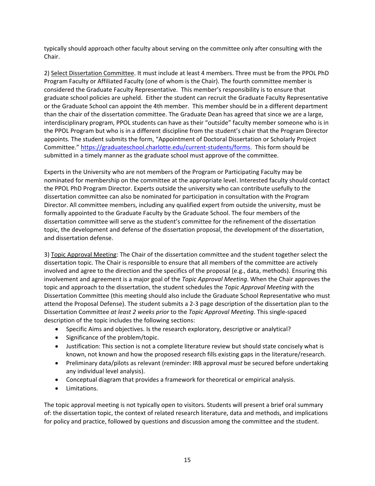typically should approach other faculty about serving on the committee only after consulting with the Chair.

2) Select Dissertation Committee. It must include at least 4 members. Three must be from the PPOL PhD Program Faculty or Affiliated Faculty (one of whom is the Chair). The fourth committee member is considered the Graduate Faculty Representative. This member's responsibility is to ensure that graduate school policies are upheld. Either the student can recruit the Graduate Faculty Representative or the Graduate School can appoint the 4th member. This member should be in a different department than the chair of the dissertation committee. The Graduate Dean has agreed that since we are a large, interdisciplinary program, PPOL students can have as their "outside" faculty member someone who is in the PPOL Program but who is in a different discipline from the student's chair that the Program Director appoints. The student submits the form, "Appointment of Doctoral Dissertation or Scholarly Project Committee." https://graduateschool.charlotte.edu/current‐students/forms. This form should be submitted in a timely manner as the graduate school must approve of the committee.

Experts in the University who are not members of the Program or Participating Faculty may be nominated for membership on the committee at the appropriate level. Interested faculty should contact the PPOL PhD Program Director. Experts outside the university who can contribute usefully to the dissertation committee can also be nominated for participation in consultation with the Program Director. All committee members, including any qualified expert from outside the university, must be formally appointed to the Graduate Faculty by the Graduate School. The four members of the dissertation committee will serve as the student's committee for the refinement of the dissertation topic, the development and defense of the dissertation proposal, the development of the dissertation, and dissertation defense.

3) Topic Approval Meeting: The Chair of the dissertation committee and the student together select the dissertation topic. The Chair is responsible to ensure that all members of the committee are actively involved and agree to the direction and the specifics of the proposal (e.g., data, methods). Ensuring this involvement and agreement is a major goal of the *Topic Approval Meeting*. When the Chair approves the topic and approach to the dissertation, the student schedules the *Topic Approval Meeting* with the Dissertation Committee (this meeting should also include the Graduate School Representative who must attend the Proposal Defense). The student submits a 2‐3 page description of the dissertation plan to the Dissertation Committee *at least 2 weeks prior* to the *Topic Approval Meeting*. This single‐spaced description of the topic includes the following sections:

- Specific Aims and objectives. Is the research exploratory, descriptive or analytical?
- Significance of the problem/topic.
- Justification: This section is not a complete literature review but should state concisely what is known, not known and how the proposed research fills existing gaps in the literature/research.
- Preliminary data/pilots as relevant (reminder: IRB approval *must* be secured before undertaking any individual level analysis).
- Conceptual diagram that provides a framework for theoretical or empirical analysis.
- Limitations.

The topic approval meeting is not typically open to visitors. Students will present a brief oral summary of: the dissertation topic, the context of related research literature, data and methods, and implications for policy and practice, followed by questions and discussion among the committee and the student.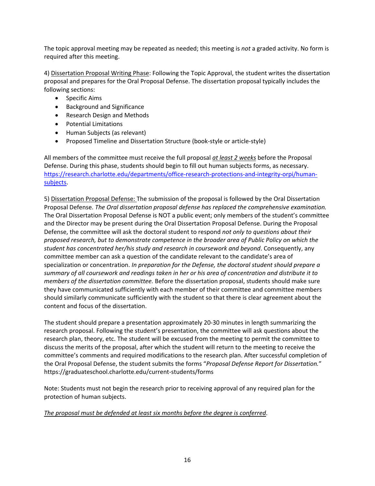The topic approval meeting may be repeated as needed; this meeting is *not* a graded activity. No form is required after this meeting.

4) Dissertation Proposal Writing Phase: Following the Topic Approval, the student writes the dissertation proposal and prepares for the Oral Proposal Defense. The dissertation proposal typically includes the following sections:

- Specific Aims
- Background and Significance
- Research Design and Methods
- Potential Limitations
- Human Subjects (as relevant)
- Proposed Timeline and Dissertation Structure (book-style or article-style)

All members of the committee must receive the full proposal *at least 2 weeks* before the Proposal Defense. During this phase, students should begin to fill out human subjects forms, as necessary. https://research.charlotte.edu/departments/office-research-protections-and-integrity-orpi/humansubjects.

5) Dissertation Proposal Defense: The submission of the proposal is followed by the Oral Dissertation Proposal Defense. *The Oral dissertation proposal defense has replaced the comprehensive examination.* The Oral Dissertation Proposal Defense is NOT a public event; only members of the student's committee and the Director may be present during the Oral Dissertation Proposal Defense. During the Proposal Defense, the committee will ask the doctoral student to respond *not only to questions about their proposed research, but to demonstrate competence in the broader area of Public Policy on which the student has concentrated her/his study and research in coursework and beyond*. Consequently, any committee member can ask a question of the candidate relevant to the candidate's area of specialization or concentration. *In preparation for the Defense, the doctoral student should prepare a* summary of all coursework and readings taken in her or his area of concentration and distribute it to *members of the dissertation committee.* Before the dissertation proposal, students should make sure they have communicated sufficiently with each member of their committee and committee members should similarly communicate sufficiently with the student so that there is clear agreement about the content and focus of the dissertation.

The student should prepare a presentation approximately 20‐30 minutes in length summarizing the research proposal. Following the student's presentation, the committee will ask questions about the research plan, theory, etc. The student will be excused from the meeting to permit the committee to discuss the merits of the proposal, after which the student will return to the meeting to receive the committee's comments and required modifications to the research plan. After successful completion of the Oral Proposal Defense, the student submits the forms "*Proposal Defense Report for Dissertation.*" https://graduateschool.charlotte.edu/current‐students/forms

Note: Students must not begin the research prior to receiving approval of any required plan for the protection of human subjects.

#### *The proposal must be defended at least six months before the degree is conferred*.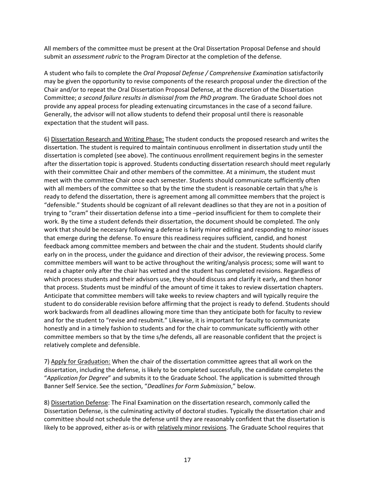All members of the committee must be present at the Oral Dissertation Proposal Defense and should submit an *assessment rubric* to the Program Director at the completion of the defense.

A student who fails to complete the *Oral Proposal Defense / Comprehensive Examination* satisfactorily may be given the opportunity to revise components of the research proposal under the direction of the Chair and/or to repeat the Oral Dissertation Proposal Defense, at the discretion of the Dissertation Committee; *a second failure results in dismissal from the PhD program*. The Graduate School does not provide any appeal process for pleading extenuating circumstances in the case of a second failure. Generally, the advisor will not allow students to defend their proposal until there is reasonable expectation that the student will pass.

6) Dissertation Research and Writing Phase: The student conducts the proposed research and writes the dissertation. The student is required to maintain continuous enrollment in dissertation study until the dissertation is completed (see above). The continuous enrollment requirement begins in the semester after the dissertation topic is approved. Students conducting dissertation research should meet regularly with their committee Chair and other members of the committee. At a minimum, the student must meet with the committee Chair once each semester. Students should communicate sufficiently often with all members of the committee so that by the time the student is reasonable certain that s/he is ready to defend the dissertation, there is agreement among all committee members that the project is "defensible." Students should be cognizant of all relevant deadlines so that they are not in a position of trying to "cram" their dissertation defense into a time –period insufficient for them to complete their work. By the time a student defends their dissertation, the document should be completed. The only work that should be necessary following a defense is fairly minor editing and responding to *minor* issues that emerge during the defense. To ensure this readiness requires sufficient, candid, and honest feedback among committee members and between the chair and the student. Students should clarify early on in the process, under the guidance and direction of their advisor, the reviewing process. Some committee members will want to be active throughout the writing/analysis process; some will want to read a chapter only after the chair has vetted and the student has completed revisions. Regardless of which process students and their advisors use, they should discuss and clarify it early, and then honor that process. Students must be mindful of the amount of time it takes to review dissertation chapters. Anticipate that committee members will take weeks to review chapters and will typically require the student to do considerable revision before affirming that the project is ready to defend. Students should work backwards from all deadlines allowing more time than they anticipate both for faculty to review and for the student to "revise and resubmit." Likewise, it is important for faculty to communicate honestly and in a timely fashion to students and for the chair to communicate sufficiently with other committee members so that by the time s/he defends, all are reasonable confident that the project is relatively complete and defensible.

7) Apply for Graduation: When the chair of the dissertation committee agrees that all work on the dissertation, including the defense, is likely to be completed successfully, the candidate completes the "*Application for Degree*" and submits it to the Graduate School. The application is submitted through Banner Self Service. See the section, "*Deadlines for Form Submission*," below.

8) Dissertation Defense: The Final Examination on the dissertation research, commonly called the Dissertation Defense, is the culminating activity of doctoral studies. Typically the dissertation chair and committee should not schedule the defense until they are reasonably confident that the dissertation is likely to be approved, either as-is or with relatively minor revisions. The Graduate School requires that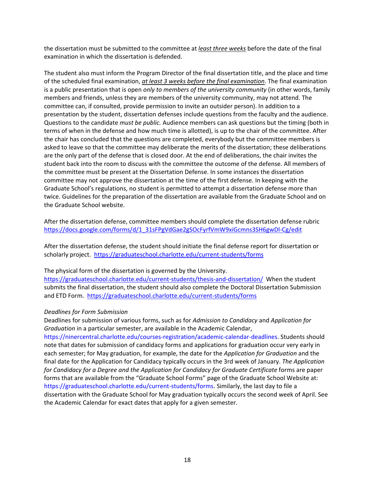the dissertation must be submitted to the committee at *least three weeks* before the date of the final examination in which the dissertation is defended.

The student also must inform the Program Director of the final dissertation title, and the place and time of the scheduled final examination, *at least 3 weeks before the final examination*. The final examination is a public presentation that is open *only to members of the university community* (in other words, family members and friends, unless they are members of the university community, may not attend. The committee can, if consulted, provide permission to invite an outsider person). In addition to a presentation by the student, dissertation defenses include questions from the faculty and the audience. Questions to the candidate *must be public.* Audience members can ask questions but the timing (both in terms of when in the defense and how much time is allotted), is up to the chair of the committee. After the chair has concluded that the questions are completed, everybody but the committee members is asked to leave so that the committee may deliberate the merits of the dissertation; these deliberations are the only part of the defense that is closed door. At the end of deliberations, the chair invites the student back into the room to discuss with the committee the outcome of the defense. All members of the committee must be present at the Dissertation Defense. In some instances the dissertation committee may not approve the dissertation at the time of the first defense. In keeping with the Graduate School's regulations, no student is permitted to attempt a dissertation defense more than twice. Guidelines for the preparation of the dissertation are available from the Graduate School and on the Graduate School website.

After the dissertation defense, committee members should complete the dissertation defense rubric https://docs.google.com/forms/d/1\_31sFPgVdGae2gSOcFyrfVmW9xiGcmns3SH6gwDl-Cg/edit

After the dissertation defense, the student should initiate the final defense report for dissertation or scholarly project. https://graduateschool.charlotte.edu/current‐students/forms

The physical form of the dissertation is governed by the University.

https://graduateschool.charlotte.edu/current-students/thesis-and-dissertation/ When the student submits the final dissertation, the student should also complete the Doctoral Dissertation Submission and ETD Form. https://graduateschool.charlotte.edu/current‐students/forms

#### *Deadlines for Form Submission*

Deadlines for submission of various forms, such as for *Admission to Candidacy* and *Application for Graduation* in a particular semester, are available in the Academic Calendar,

https://ninercentral.charlotte.edu/courses‐registration/academic‐calendar‐deadlines. Students should note that dates for submission of candidacy forms and applications for graduation occur very early in each semester; for May graduation, for example, the date for the *Application for Graduation* and the final date for the Application for Candidacy typically occurs in the 3rd week of January. *The Application for Candidacy for a Degree and the Application for Candidacy for Graduate Certificate* forms are paper forms that are available from the "Graduate School Forms" page of the Graduate School Website at: https://graduateschool.charlotte.edu/current‐students/forms. Similarly, the last day to file a dissertation with the Graduate School for May graduation typically occurs the second week of April. See the Academic Calendar for exact dates that apply for a given semester.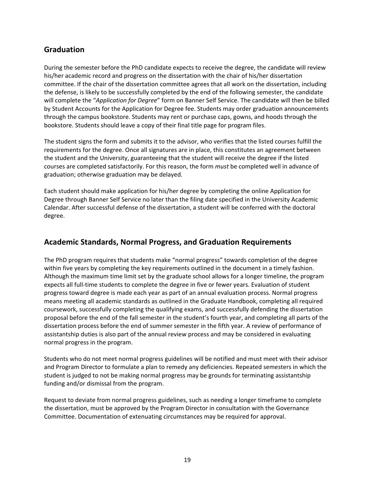## **Graduation**

During the semester before the PhD candidate expects to receive the degree, the candidate will review his/her academic record and progress on the dissertation with the chair of his/her dissertation committee. If the chair of the dissertation committee agrees that all work on the dissertation, including the defense, is likely to be successfully completed by the end of the following semester, the candidate will complete the "*Application for Degree*" form on Banner Self Service. The candidate will then be billed by Student Accounts for the Application for Degree fee. Students may order graduation announcements through the campus bookstore. Students may rent or purchase caps, gowns, and hoods through the bookstore. Students should leave a copy of their final title page for program files.

The student signs the form and submits it to the advisor, who verifies that the listed courses fulfill the requirements for the degree. Once all signatures are in place, this constitutes an agreement between the student and the University, guaranteeing that the student will receive the degree if the listed courses are completed satisfactorily. For this reason, the form *must* be completed well in advance of graduation; otherwise graduation may be delayed.

Each student should make application for his/her degree by completing the online Application for Degree through Banner Self Service no later than the filing date specified in the University Academic Calendar. After successful defense of the dissertation, a student will be conferred with the doctoral degree.

## **Academic Standards, Normal Progress, and Graduation Requirements**

The PhD program requires that students make "normal progress" towards completion of the degree within five years by completing the key requirements outlined in the document in a timely fashion. Although the maximum time limit set by the graduate school allows for a longer timeline, the program expects all full-time students to complete the degree in five or fewer years. Evaluation of student progress toward degree is made each year as part of an annual evaluation process. Normal progress means meeting all academic standards as outlined in the Graduate Handbook, completing all required coursework, successfully completing the qualifying exams, and successfully defending the dissertation proposal before the end of the fall semester in the student's fourth year, and completing all parts of the dissertation process before the end of summer semester in the fifth year. A review of performance of assistantship duties is also part of the annual review process and may be considered in evaluating normal progress in the program.

Students who do not meet normal progress guidelines will be notified and must meet with their advisor and Program Director to formulate a plan to remedy any deficiencies. Repeated semesters in which the student is judged to not be making normal progress may be grounds for terminating assistantship funding and/or dismissal from the program.

Request to deviate from normal progress guidelines, such as needing a longer timeframe to complete the dissertation, must be approved by the Program Director in consultation with the Governance Committee. Documentation of extenuating circumstances may be required for approval.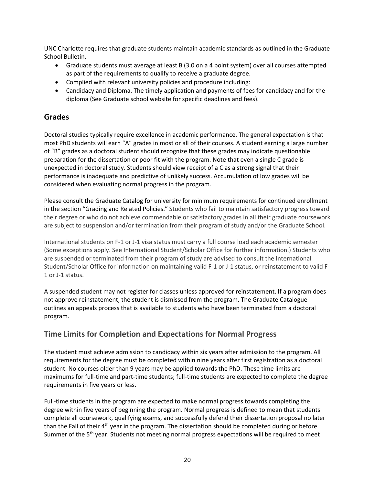UNC Charlotte requires that graduate students maintain academic standards as outlined in the Graduate School Bulletin.

- Graduate students must average at least B (3.0 on a 4 point system) over all courses attempted as part of the requirements to qualify to receive a graduate degree.
- Complied with relevant university policies and procedure including:
- Candidacy and Diploma. The timely application and payments of fees for candidacy and for the diploma (See Graduate school website for specific deadlines and fees).

## **Grades**

Doctoral studies typically require excellence in academic performance. The general expectation is that most PhD students will earn "A" grades in most or all of their courses. A student earning a large number of "B" grades as a doctoral student should recognize that these grades may indicate questionable preparation for the dissertation or poor fit with the program. Note that even a single C grade is unexpected in doctoral study. Students should view receipt of a C as a strong signal that their performance is inadequate and predictive of unlikely success. Accumulation of low grades will be considered when evaluating normal progress in the program.

Please consult the Graduate Catalog for university for minimum requirements for continued enrollment in the section "Grading and Related Policies." Students who fail to maintain satisfactory progress toward their degree or who do not achieve commendable or satisfactory grades in all their graduate coursework are subject to suspension and/or termination from their program of study and/or the Graduate School.

International students on F‐1 or J‐1 visa status must carry a full course load each academic semester (Some exceptions apply. See International Student/Scholar Office for further information.) Students who are suspended or terminated from their program of study are advised to consult the International Student/Scholar Office for information on maintaining valid F‐1 or J‐1 status, or reinstatement to valid F‐ 1 or J‐1 status.

A suspended student may not register for classes unless approved for reinstatement. If a program does not approve reinstatement, the student is dismissed from the program. The Graduate Catalogue outlines an appeals process that is available to students who have been terminated from a doctoral program.

## **Time Limits for Completion and Expectations for Normal Progress**

The student must achieve admission to candidacy within six years after admission to the program. All requirements for the degree must be completed within nine years after first registration as a doctoral student. No courses older than 9 years may be applied towards the PhD. These time limits are maximums for full-time and part-time students; full-time students are expected to complete the degree requirements in five years or less.

Full-time students in the program are expected to make normal progress towards completing the degree within five years of beginning the program. Normal progress is defined to mean that students complete all coursework, qualifying exams, and successfully defend their dissertation proposal no later than the Fall of their  $4<sup>th</sup>$  year in the program. The dissertation should be completed during or before Summer of the 5<sup>th</sup> year. Students not meeting normal progress expectations will be required to meet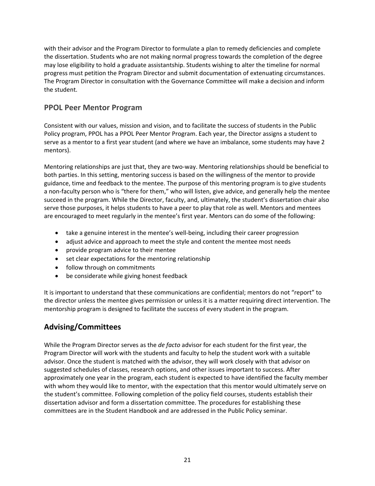with their advisor and the Program Director to formulate a plan to remedy deficiencies and complete the dissertation. Students who are not making normal progress towards the completion of the degree may lose eligibility to hold a graduate assistantship. Students wishing to alter the timeline for normal progress must petition the Program Director and submit documentation of extenuating circumstances. The Program Director in consultation with the Governance Committee will make a decision and inform the student.

## **PPOL Peer Mentor Program**

Consistent with our values, mission and vision, and to facilitate the success of students in the Public Policy program, PPOL has a PPOL Peer Mentor Program. Each year, the Director assigns a student to serve as a mentor to a first year student (and where we have an imbalance, some students may have 2 mentors).

Mentoring relationships are just that, they are two-way. Mentoring relationships should be beneficial to both parties. In this setting, mentoring success is based on the willingness of the mentor to provide guidance, time and feedback to the mentee. The purpose of this mentoring program is to give students a non-faculty person who is "there for them," who will listen, give advice, and generally help the mentee succeed in the program. While the Director, faculty, and, ultimately, the student's dissertation chair also serve those purposes, it helps students to have a peer to play that role as well. Mentors and mentees are encouraged to meet regularly in the mentee's first year. Mentors can do some of the following:

- take a genuine interest in the mentee's well-being, including their career progression
- adjust advice and approach to meet the style and content the mentee most needs
- provide program advice to their mentee
- set clear expectations for the mentoring relationship
- follow through on commitments
- be considerate while giving honest feedback

It is important to understand that these communications are confidential; mentors do not "report" to the director unless the mentee gives permission or unless it is a matter requiring direct intervention. The mentorship program is designed to facilitate the success of every student in the program.

## **Advising/Committees**

While the Program Director serves as the *de facto* advisor for each student for the first year, the Program Director will work with the students and faculty to help the student work with a suitable advisor. Once the student is matched with the advisor, they will work closely with that advisor on suggested schedules of classes, research options, and other issues important to success. After approximately one year in the program, each student is expected to have identified the faculty member with whom they would like to mentor, with the expectation that this mentor would ultimately serve on the student's committee. Following completion of the policy field courses, students establish their dissertation advisor and form a dissertation committee. The procedures for establishing these committees are in the Student Handbook and are addressed in the Public Policy seminar.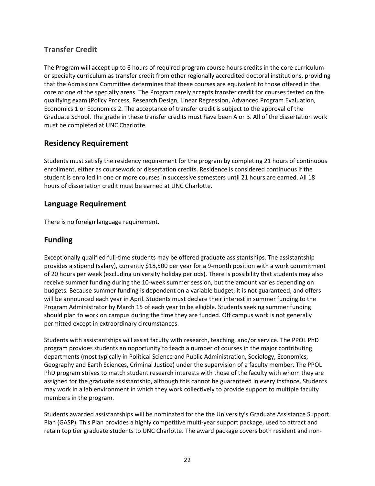## **Transfer Credit**

The Program will accept up to 6 hours of required program course hours credits in the core curriculum or specialty curriculum as transfer credit from other regionally accredited doctoral institutions, providing that the Admissions Committee determines that these courses are equivalent to those offered in the core or one of the specialty areas. The Program rarely accepts transfer credit for courses tested on the qualifying exam (Policy Process, Research Design, Linear Regression, Advanced Program Evaluation, Economics 1 or Economics 2. The acceptance of transfer credit is subject to the approval of the Graduate School. The grade in these transfer credits must have been A or B. All of the dissertation work must be completed at UNC Charlotte.

## **Residency Requirement**

Students must satisfy the residency requirement for the program by completing 21 hours of continuous enrollment, either as coursework or dissertation credits. Residence is considered continuous if the student is enrolled in one or more courses in successive semesters until 21 hours are earned. All 18 hours of dissertation credit must be earned at UNC Charlotte.

## **Language Requirement**

There is no foreign language requirement.

## **Funding**

Exceptionally qualified full‐time students may be offered graduate assistantships. The assistantship provides a stipend (salary), currently \$18,500 per year for a 9‐month position with a work commitment of 20 hours per week (excluding university holiday periods). There is possibility that students may also receive summer funding during the 10‐week summer session, but the amount varies depending on budgets. Because summer funding is dependent on a variable budget, it is not guaranteed, and offers will be announced each year in April. Students must declare their interest in summer funding to the Program Administrator by March 15 of each year to be eligible. Students seeking summer funding should plan to work on campus during the time they are funded. Off campus work is not generally permitted except in extraordinary circumstances.

Students with assistantships will assist faculty with research, teaching, and/or service. The PPOL PhD program provides students an opportunity to teach a number of courses in the major contributing departments (most typically in Political Science and Public Administration, Sociology, Economics, Geography and Earth Sciences, Criminal Justice) under the supervision of a faculty member. The PPOL PhD program strives to match student research interests with those of the faculty with whom they are assigned for the graduate assistantship, although this cannot be guaranteed in every instance. Students may work in a lab environment in which they work collectively to provide support to multiple faculty members in the program.

Students awarded assistantships will be nominated for the the University's Graduate Assistance Support Plan (GASP). This Plan provides a highly competitive multi‐year support package, used to attract and retain top tier graduate students to UNC Charlotte. The award package covers both resident and non‐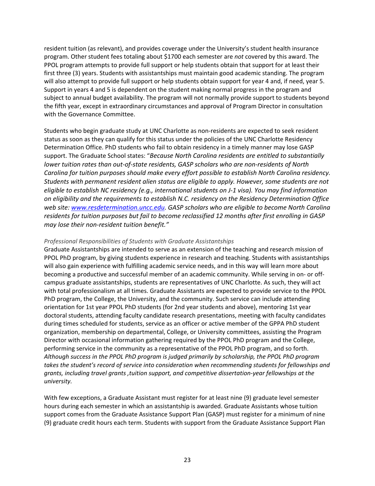resident tuition (as relevant), and provides coverage under the University's student health insurance program. Other student fees totaling about \$1700 each semester are *not* covered by this award. The PPOL program attempts to provide full support or help students obtain that support for at least their first three (3) years. Students with assistantships must maintain good academic standing. The program will also attempt to provide full support or help students obtain support for year 4 and, if need, year 5. Support in years 4 and 5 is dependent on the student making normal progress in the program and subject to annual budget availability. The program will not normally provide support to students beyond the fifth year, except in extraordinary circumstances and approval of Program Director in consultation with the Governance Committee.

Students who begin graduate study at UNC Charlotte as non-residents are expected to seek resident status as soon as they can qualify for this status under the policies of the UNC Charlotte Residency Determination Office. PhD students who fail to obtain residency in a timely manner may lose GASP support. The Graduate School states: "*Because North Carolina residents are entitled to substantially* lower tuition rates than out-of-state residents, GASP scholars who are non-residents of North *Carolina for tuition purposes should make every effort possible to establish North Carolina residency. Students with permanent resident alien status are eligible to apply. However, some students are not eligible to establish NC residency (e.g., international students on J‐1 visa). You may find information on eligibility and the requirements to establish N.C. residency on the Residency Determination Office web site: www.resdetermination.uncc.edu. GASP scholars who are eligible to become North Carolina residents for tuition purposes but fail to become reclassified 12 months after first enrolling in GASP may lose their non‐resident tuition benefit."*

#### *Professional Responsibilities of Students with Graduate Assistantships*

Graduate Assistantships are intended to serve as an extension of the teaching and research mission of PPOL PhD program, by giving students experience in research and teaching. Students with assistantships will also gain experience with fulfilling academic service needs, and in this way will learn more about becoming a productive and successful member of an academic community. While serving in on- or offcampus graduate assistantships, students are representatives of UNC Charlotte. As such, they will act with total professionalism at all times. Graduate Assistants are expected to provide service to the PPOL PhD program, the College, the University, and the community. Such service can include attending orientation for 1st year PPOL PhD students (for 2nd year students and above), mentoring 1st year doctoral students, attending faculty candidate research presentations, meeting with faculty candidates during times scheduled for students, service as an officer or active member of the GPPA PhD student organization, membership on departmental, College, or University committees, assisting the Program Director with occasional information gathering required by the PPOL PhD program and the College, performing service in the community as a representative of the PPOL PhD program, and so forth. *Although success in the PPOL PhD program is judged primarily by scholarship, the PPOL PhD program takes the student's record of service into consideration when recommending students for fellowships and grants, including travel grants ,tuition support, and competitive dissertation‐year fellowships at the university.*

With few exceptions, a Graduate Assistant must register for at least nine (9) graduate level semester hours during each semester in which an assistantship is awarded. Graduate Assistants whose tuition support comes from the Graduate Assistance Support Plan (GASP) must register for a minimum of nine (9) graduate credit hours each term. Students with support from the Graduate Assistance Support Plan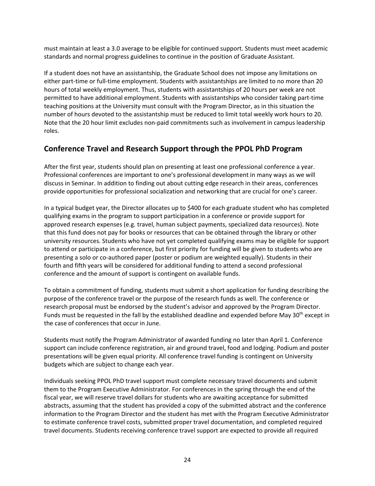must maintain at least a 3.0 average to be eligible for continued support. Students must meet academic standards and normal progress guidelines to continue in the position of Graduate Assistant.

If a student does not have an assistantship, the Graduate School does not impose any limitations on either part-time or full-time employment. Students with assistantships are limited to no more than 20 hours of total weekly employment. Thus, students with assistantships of 20 hours per week are not permitted to have additional employment. Students with assistantships who consider taking part‐time teaching positions at the University must consult with the Program Director, as in this situation the number of hours devoted to the assistantship must be reduced to limit total weekly work hours to 20. Note that the 20 hour limit excludes non‐paid commitments such as involvement in campus leadership roles.

## **Conference Travel and Research Support through the PPOL PhD Program**

After the first year, students should plan on presenting at least one professional conference a year. Professional conferences are important to one's professional development in many ways as we will discuss in Seminar. In addition to finding out about cutting edge research in their areas, conferences provide opportunities for professional socialization and networking that are crucial for one's career.

In a typical budget year, the Director allocates up to \$400 for each graduate student who has completed qualifying exams in the program to support participation in a conference or provide support for approved research expenses (e.g. travel, human subject payments, specialized data resources). Note that this fund does not pay for books or resources that can be obtained through the library or other university resources. Students who have not yet completed qualifying exams may be eligible for support to attend or participate in a conference, but first priority for funding will be given to students who are presenting a solo or co‐authored paper (poster or podium are weighted equally). Students in their fourth and fifth years will be considered for additional funding to attend a second professional conference and the amount of support is contingent on available funds.

To obtain a commitment of funding, students must submit a short application for funding describing the purpose of the conference travel or the purpose of the research funds as well. The conference or research proposal must be endorsed by the student's advisor and approved by the Program Director. Funds must be requested in the fall by the established deadline and expended before May 30th except in the case of conferences that occur in June.

Students must notify the Program Administrator of awarded funding no later than April 1. Conference support can include conference registration, air and ground travel, food and lodging. Podium and poster presentations will be given equal priority. All conference travel funding is contingent on University budgets which are subject to change each year.

Individuals seeking PPOL PhD travel support must complete necessary travel documents and submit them to the Program Executive Administrator. For conferences in the spring through the end of the fiscal year, we will reserve travel dollars for students who are awaiting acceptance for submitted abstracts, assuming that the student has provided a copy of the submitted abstract and the conference information to the Program Director and the student has met with the Program Executive Administrator to estimate conference travel costs, submitted proper travel documentation, and completed required travel documents. Students receiving conference travel support are expected to provide all required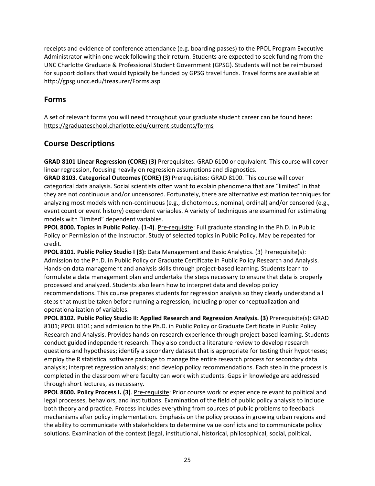receipts and evidence of conference attendance (e.g. boarding passes) to the PPOL Program Executive Administrator within one week following their return. Students are expected to seek funding from the UNC Charlotte Graduate & Professional Student Government (GPSG). Students will not be reimbursed for support dollars that would typically be funded by GPSG travel funds. Travel forms are available at http://gpsg.uncc.edu/treasurer/Forms.asp

### **Forms**

A set of relevant forms you will need throughout your graduate student career can be found here: https://graduateschool.charlotte.edu/current‐students/forms

## **Course Descriptions**

**GRAD 8101 Linear Regression (CORE) (3)** Prerequisites: GRAD 6100 or equivalent. This course will cover linear regression, focusing heavily on regression assumptions and diagnostics.

**GRAD 8103. Categorical Outcomes (CORE) (3)** Prerequisites: GRAD 8100. This course will cover categorical data analysis. Social scientists often want to explain phenomena that are "limited" in that they are not continuous and/or uncensored. Fortunately, there are alternative estimation techniques for analyzing most models with non-continuous (e.g., dichotomous, nominal, ordinal) and/or censored (e.g., event count or event history) dependent variables. A variety of techniques are examined for estimating models with "limited" dependent variables.

**PPOL 8000. Topics in Public Policy. (1‐4)**. Pre‐requisite: Full graduate standing in the Ph.D. in Public Policy or Permission of the Instructor. Study of selected topics in Public Policy. May be repeated for credit.

**PPOL 8101. Public Policy Studio I (3):** Data Management and Basic Analytics. (3) Prerequisite(s): Admission to the Ph.D. in Public Policy or Graduate Certificate in Public Policy Research and Analysis. Hands‐on data management and analysis skills through project‐based learning. Students learn to formulate a data management plan and undertake the steps necessary to ensure that data is properly processed and analyzed. Students also learn how to interpret data and develop policy recommendations. This course prepares students for regression analysis so they clearly understand all steps that must be taken before running a regression, including proper conceptualization and operationalization of variables.

**PPOL 8102. Public Policy Studio II: Applied Research and Regression Analysis. (3)** Prerequisite(s): GRAD 8101; PPOL 8101; and admission to the Ph.D. in Public Policy or Graduate Certificate in Public Policy Research and Analysis. Provides hands‐on research experience through project‐based learning. Students conduct guided independent research. They also conduct a literature review to develop research questions and hypotheses; identify a secondary dataset that is appropriate for testing their hypotheses; employ the R statistical software package to manage the entire research process for secondary data analysis; interpret regression analysis; and develop policy recommendations. Each step in the process is completed in the classroom where faculty can work with students. Gaps in knowledge are addressed through short lectures, as necessary.

**PPOL 8600. Policy Process I. (3)**. Pre‐requisite: Prior course work or experience relevant to political and legal processes, behaviors, and institutions. Examination of the field of public policy analysis to include both theory and practice. Process includes everything from sources of public problems to feedback mechanisms after policy implementation. Emphasis on the policy process in growing urban regions and the ability to communicate with stakeholders to determine value conflicts and to communicate policy solutions. Examination of the context (legal, institutional, historical, philosophical, social, political,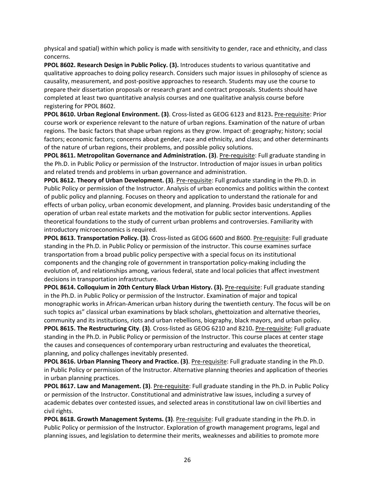physical and spatial) within which policy is made with sensitivity to gender, race and ethnicity, and class concerns.

**PPOL 8602. Research Design in Public Policy. (3).** Introduces students to various quantitative and qualitative approaches to doing policy research. Considers such major issues in philosophy of science as causality, measurement, and post‐positive approaches to research. Students may use the course to prepare their dissertation proposals or research grant and contract proposals. Students should have completed at least two quantitative analysis courses and one qualitative analysis course before registering for PPOL 8602.

**PPOL 8610. Urban Regional Environment. (3)**. Cross‐listed as GEOG 6123 and 8123**.** Pre‐requisite: Prior course work or experience relevant to the nature of urban regions. Examination of the nature of urban regions. The basic factors that shape urban regions as they grow. Impact of: geography; history; social factors; economic factors; concerns about gender, race and ethnicity, and class; and other determinants of the nature of urban regions, their problems, and possible policy solutions.

**PPOL 8611. Metropolitan Governance and Administration. (3)**. Pre‐requisite: Full graduate standing in the Ph.D. in Public Policy or permission of the Instructor. Introduction of major issues in urban politics and related trends and problems in urban governance and administration.

**PPOL 8612. Theory of Urban Development. (3)**. Pre‐requisite: Full graduate standing in the Ph.D. in Public Policy or permission of the Instructor. Analysis of urban economics and politics within the context of public policy and planning. Focuses on theory and application to understand the rationale for and effects of urban policy, urban economic development, and planning. Provides basic understanding of the operation of urban real estate markets and the motivation for public sector interventions. Applies theoretical foundations to the study of current urban problems and controversies. Familiarity with introductory microeconomics is required.

**PPOL 8613. Transportation Policy. (3)**. Cross‐listed as GEOG 6600 and 8600. Pre‐requisite: Full graduate standing in the Ph.D. in Public Policy or permission of the instructor. This course examines surface transportation from a broad public policy perspective with a special focus on its institutional components and the changing role of government in transportation policy-making including the evolution of, and relationships among, various federal, state and local policies that affect investment decisions in transportation infrastructure.

**PPOL 8614. Colloquium in 20th Century Black Urban History. (3).** Pre‐requisite: Full graduate standing in the Ph.D. in Public Policy or permission of the Instructor. Examination of major and topical monographic works in African‐American urban history during the twentieth century. The focus will be on such topics as" classical urban examinations by black scholars, ghettoization and alternative theories, community and its institutions, riots and urban rebellions, biography, black mayors, and urban policy. **PPOL 8615. The Restructuring City**. **(3)**. Cross‐listed as GEOG 6210 and 8210**.** Pre‐requisite: Full graduate standing in the Ph.D. in Public Policy or permission of the Instructor. This course places at center stage the causes and consequences of contemporary urban restructuring and evaluates the theoretical, planning, and policy challenges inevitably presented.

**PPOL 8616. Urban Planning Theory and Practice. (3)**. Pre‐requisite: Full graduate standing in the Ph.D. in Public Policy or permission of the Instructor. Alternative planning theories and application of theories in urban planning practices.

**PPOL 8617. Law and Management. (3)**. Pre‐requisite: Full graduate standing in the Ph.D. in Public Policy or permission of the Instructor. Constitutional and administrative law issues, including a survey of academic debates over contested issues, and selected areas in constitutional law on civil liberties and civil rights.

**PPOL 8618. Growth Management Systems. (3)**. Pre‐requisite: Full graduate standing in the Ph.D. in Public Policy or permission of the Instructor. Exploration of growth management programs, legal and planning issues, and legislation to determine their merits, weaknesses and abilities to promote more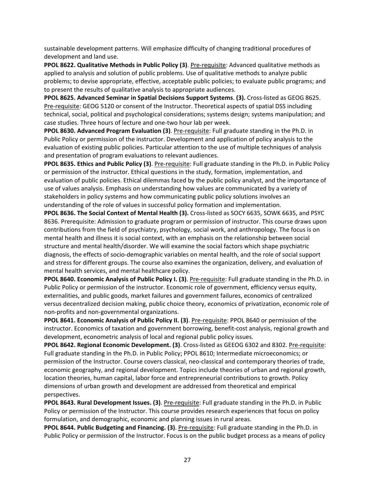sustainable development patterns. Will emphasize difficulty of changing traditional procedures of development and land use.

**PPOL 8622. Qualitative Methods in Public Policy (3)**. Pre‐requisite: Advanced qualitative methods as applied to analysis and solution of public problems. Use of qualitative methods to analyze public problems; to devise appropriate, effective, acceptable public policies; to evaluate public programs; and to present the results of qualitative analysis to appropriate audiences.

**PPOL 8625. Advanced Seminar in Spatial Decisions Support Systems**. **(3).** Cross‐listed as GEOG 8625. Pre-requisite: GEOG 5120 or consent of the Instructor. Theoretical aspects of spatial DSS including technical, social, political and psychological considerations; systems design; systems manipulation; and case studies. Three hours of lecture and one‐two hour lab per week.

**PPOL 8630. Advanced Program Evaluation (3)**. Pre‐requisite: Full graduate standing in the Ph.D. in Public Policy or permission of the instructor. Development and application of policy analysis to the evaluation of existing public policies. Particular attention to the use of multiple techniques of analysis and presentation of program evaluations to relevant audiences.

**PPOL 8635. Ethics and Public Policy (3)**. Pre‐requisite: Full graduate standing in the Ph.D. in Public Policy or permission of the instructor. Ethical questions in the study, formation, implementation, and evaluation of public policies. Ethical dilemmas faced by the public policy analyst, and the importance of use of values analysis. Emphasis on understanding how values are communicated by a variety of stakeholders in policy systems and how communicating public policy solutions involves an understanding of the role of values in successful policy formation and implementation.

**PPOL 8636. The Social Context of Mental Health (3).** Cross‐listed as SOCY 6635, SOWK 6635, and PSYC 8636. Prerequisite: Admission to graduate program or permission of instructor. This course draws upon contributions from the field of psychiatry, psychology, social work, and anthropology. The focus is on mental health and illness it is social context, with an emphasis on the relationship between social structure and mental health/disorder. We will examine the social factors which shape psychiatric diagnosis, the effects of socio‐demographic variables on mental health, and the role of social support and stress for different groups. The course also examines the organization, delivery, and evaluation of mental health services, and mental healthcare policy.

**PPOL 8640. Economic Analysis of Public Policy I. (3)**. Pre‐requisite: Full graduate standing in the Ph.D. in Public Policy or permission of the instructor. Economic role of government, efficiency versus equity, externalities, and public goods, market failures and government failures, economics of centralized versus decentralized decision making, public choice theory, economics of privatization, economic role of non‐profits and non‐governmental organizations.

**PPOL 8641. Economic Analysis of Public Policy II. (3)**. Pre‐requisite: PPOL 8640 or permission of the instructor. Economics of taxation and government borrowing, benefit-cost analysis, regional growth and development, econometric analysis of local and regional public policy issues.

**PPOL 8642. Regional Economic Development. (3)**. Cross‐listed as GEEOG 6302 and 8302. Pre‐requisite: Full graduate standing in the Ph.D. in Public Policy; PPOL 8610; Intermediate microeconomics; or permission of the Instructor. Course covers classical, neo‐classical and contemporary theories of trade, economic geography, and regional development. Topics include theories of urban and regional growth, location theories, human capital, labor force and entrepreneurial contributions to growth. Policy dimensions of urban growth and development are addressed from theoretical and empirical perspectives.

**PPOL 8643. Rural Development Issues. (3)**. Pre‐requisite: Full graduate standing in the Ph.D. in Public Policy or permission of the Instructor. This course provides research experiences that focus on policy formulation, and demographic, economic and planning issues in rural areas.

**PPOL 8644. Public Budgeting and Financing. (3)**. Pre‐requisite: Full graduate standing in the Ph.D. in Public Policy or permission of the Instructor. Focus is on the public budget process as a means of policy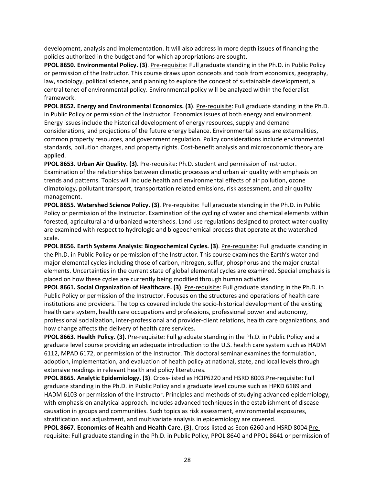development, analysis and implementation. It will also address in more depth issues of financing the policies authorized in the budget and for which appropriations are sought.

**PPOL 8650. Environmental Policy. (3)**. Pre‐requisite: Full graduate standing in the Ph.D. in Public Policy or permission of the Instructor. This course draws upon concepts and tools from economics, geography, law, sociology, political science, and planning to explore the concept of sustainable development, a central tenet of environmental policy. Environmental policy will be analyzed within the federalist framework.

**PPOL 8652. Energy and Environmental Economics. (3)**. Pre‐requisite: Full graduate standing in the Ph.D. in Public Policy or permission of the Instructor. Economics issues of both energy and environment. Energy issues include the historical development of energy resources, supply and demand considerations, and projections of the future energy balance. Environmental issues are externalities, common property resources, and government regulation. Policy considerations include environmental standards, pollution charges, and property rights. Cost‐benefit analysis and microeconomic theory are applied.

**PPOL 8653. Urban Air Quality. (3).** Pre‐requisite: Ph.D. student and permission of instructor. Examination of the relationships between climatic processes and urban air quality with emphasis on trends and patterns. Topics will include health and environmental effects of air pollution, ozone climatology, pollutant transport, transportation related emissions, risk assessment, and air quality management.

**PPOL 8655. Watershed Science Policy. (3)**. Pre‐requisite: Full graduate standing in the Ph.D. in Public Policy or permission of the Instructor. Examination of the cycling of water and chemical elements within forested, agricultural and urbanized watersheds. Land use regulations designed to protect water quality are examined with respect to hydrologic and biogeochemical process that operate at the watershed scale.

**PPOL 8656. Earth Systems Analysis: Biogeochemical Cycles. (3)**. Pre‐requisite: Full graduate standing in the Ph.D. in Public Policy or permission of the Instructor. This course examines the Earth's water and major elemental cycles including those of carbon, nitrogen, sulfur, phosphorus and the major crustal elements. Uncertainties in the current state of global elemental cycles are examined. Special emphasis is placed on how these cycles are currently being modified through human activities.

**PPOL 8661. Social Organization of Healthcare. (3)**. Pre‐requisite: Full graduate standing in the Ph.D. in Public Policy or permission of the Instructor. Focuses on the structures and operations of health care institutions and providers. The topics covered include the socio-historical development of the existing health care system, health care occupations and professions, professional power and autonomy, professional socialization, inter‐professional and provider‐client relations, health care organizations, and how change affects the delivery of health care services.

**PPOL 8663. Health Policy. (3)**. Pre‐requisite: Full graduate standing in the Ph.D. in Public Policy and a graduate level course providing an adequate introduction to the U.S. health care system such as HADM 6112, MPAD 6172, or permission of the Instructor. This doctoral seminar examines the formulation, adoption, implementation, and evaluation of health policy at national, state, and local levels through extensive readings in relevant health and policy literatures.

**PPOL 8665. Analytic Epidemiology. (3)**. Cross‐listed as HCIP6220 and HSRD 8003.Pre‐requisite: Full graduate standing in the Ph.D. in Public Policy and a graduate level course such as HPKD 6189 and HADM 6103 or permission of the Instructor. Principles and methods of studying advanced epidemiology, with emphasis on analytical approach. Includes advanced techniques in the establishment of disease causation in groups and communities. Such topics as risk assessment, environmental exposures, stratification and adjustment, and multivariate analysis in epidemiology are covered.

**PPOL 8667. Economics of Health and Health Care. (3)**. Cross‐listed as Econ 6260 and HSRD 8004.Pre‐ requisite: Full graduate standing in the Ph.D. in Public Policy, PPOL 8640 and PPOL 8641 or permission of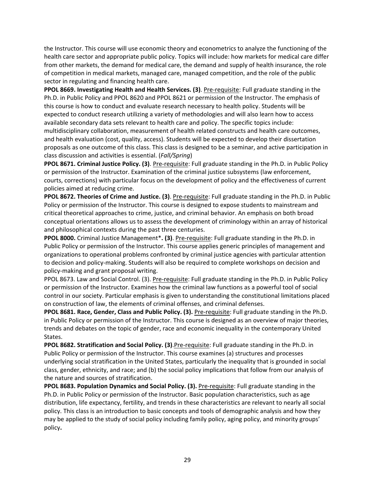the Instructor. This course will use economic theory and econometrics to analyze the functioning of the health care sector and appropriate public policy. Topics will include: how markets for medical care differ from other markets, the demand for medical care, the demand and supply of health insurance, the role of competition in medical markets, managed care, managed competition, and the role of the public sector in regulating and financing health care.

**PPOL 8669. Investigating Health and Health Services. (3)**. Pre‐requisite: Full graduate standing in the Ph.D. in Public Policy and PPOL 8620 and PPOL 8621 or permission of the Instructor. The emphasis of this course is how to conduct and evaluate research necessary to health policy. Students will be expected to conduct research utilizing a variety of methodologies and will also learn how to access available secondary data sets relevant to health care and policy. The specific topics include: multidisciplinary collaboration, measurement of health related constructs and health care outcomes, and health evaluation (cost, quality, access). Students will be expected to develop their dissertation proposals as one outcome of this class. This class is designed to be a seminar, and active participation in class discussion and activities is essential. (*Fall/Spring*)

**PPOL 8671. Criminal Justice Policy. (3)**. Pre‐requisite: Full graduate standing in the Ph.D. in Public Policy or permission of the Instructor. Examination of the criminal justice subsystems (law enforcement, courts, corrections) with particular focus on the development of policy and the effectiveness of current policies aimed at reducing crime.

**PPOL 8672. Theories of Crime and Justice. (3)**. Pre‐requisite: Full graduate standing in the Ph.D. in Public Policy or permission of the Instructor. This course is designed to expose students to mainstream and critical theoretical approaches to crime, justice, and criminal behavior. An emphasis on both broad conceptual orientations allows us to assess the development of criminology within an array of historical and philosophical contexts during the past three centuries.

**PPOL 8000.** Criminal Justice Management\***. (3)**. Pre‐requisite: Full graduate standing in the Ph.D. in Public Policy or permission of the Instructor. This course applies generic principles of management and organizations to operational problems confronted by criminal justice agencies with particular attention to decision and policy‐making. Students will also be required to complete workshops on decision and policy‐making and grant proposal writing.

PPOL 8673. Law and Social Control. (3). Pre‐requisite: Full graduate standing in the Ph.D. in Public Policy or permission of the Instructor. Examines how the criminal law functions as a powerful tool of social control in our society. Particular emphasis is given to understanding the constitutional limitations placed on construction of law, the elements of criminal offenses, and criminal defenses.

**PPOL 8681. Race, Gender, Class and Public Policy. (3).** Pre‐requisite: Full graduate standing in the Ph.D. in Public Policy or permission of the Instructor. This course is designed as an overview of major theories, trends and debates on the topic of gender, race and economic inequality in the contemporary United States.

**PPOL 8682. Stratification and Social Policy. (3)**.Pre‐requisite: Full graduate standing in the Ph.D. in Public Policy or permission of the Instructor. This course examines (a) structures and processes underlying social stratification in the United States, particularly the inequality that is grounded in social class, gender, ethnicity, and race; and (b) the social policy implications that follow from our analysis of the nature and sources of stratification.

**PPOL 8683. Population Dynamics and Social Policy. (3).** Pre‐requisite: Full graduate standing in the Ph.D. in Public Policy or permission of the Instructor. Basic population characteristics, such as age distribution, life expectancy, fertility, and trends in these characteristics are relevant to nearly all social policy. This class is an introduction to basic concepts and tools of demographic analysis and how they may be applied to the study of social policy including family policy, aging policy, and minority groups' policy**.**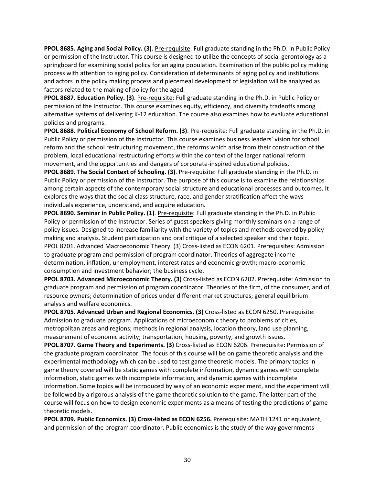**PPOL 8685. Aging and Social Policy. (3)**. Pre‐requisite: Full graduate standing in the Ph.D. in Public Policy or permission of the Instructor. This course is designed to utilize the concepts of social gerontology as a springboard for examining social policy for an aging population. Examination of the public policy making process with attention to aging policy. Consideration of determinants of aging policy and institutions and actors in the policy making process and piecemeal development of legislation will be analyzed as factors related to the making of policy for the aged.

**PPOL 8687. Education Policy. (3)**. Pre‐requisite: Full graduate standing in the Ph.D. in Public Policy or permission of the Instructor. This course examines equity, efficiency, and diversity tradeoffs among alternative systems of delivering K‐12 education. The course also examines how to evaluate educational policies and programs.

**PPOL 8688. Political Economy of School Reform. (3)**. Pre‐requisite: Full graduate standing in the Ph.D. in Public Policy or permission of the Instructor. This course examines business leaders' vision for school reform and the school restructuring movement, the reforms which arise from their construction of the problem, local educational restructuring efforts within the context of the larger national reform movement, and the opportunities and dangers of corporate‐inspired educational policies.

**PPOL 8689. The Social Context of Schooling. (3)**. Pre‐requisite: Full graduate standing in the Ph.D. in Public Policy or permission of the Instructor. The purpose of this course is to examine the relationships among certain aspects of the contemporary social structure and educational processes and outcomes. It explores the ways that the social class structure, race, and gender stratification affect the ways individuals experience, understand, and acquire education*.* 

**PPOL 8690. Seminar in Public Policy. (1)**. Pre‐requisite: Full graduate standing in the Ph.D. in Public Policy or permission of the Instructor. Series of guest speakers giving monthly seminars on a range of policy issues. Designed to increase familiarity with the variety of topics and methods covered by policy making and analysis. Student participation and oral critique of a selected speaker and their topic. PPOL 8701. Advanced Macroeconomic Theory. (3) Cross‐listed as ECON 6201. Prerequisites: Admission to graduate program and permission of program coordinator. Theories of aggregate income determination, inflation, unemployment, interest rates and economic growth; macro‐economic consumption and investment behavior; the business cycle.

**PPOL 8703. Advanced Microeconomic Theory. (3)** Cross‐listed as ECON 6202. Prerequisite: Admission to graduate program and permission of program coordinator. Theories of the firm, of the consumer, and of resource owners; determination of prices under different market structures; general equilibrium analysis and welfare economics.

**PPOL 8705. Advanced Urban and Regional Economics. (3)** Cross‐listed as ECON 6250. Prerequisite: Admission to graduate program. Applications of microeconomic theory to problems of cities, metropolitan areas and regions; methods in regional analysis, location theory, land use planning, measurement of economic activity; transportation, housing, poverty, and growth issues.

**PPOL 8707. Game Theory and Experiments. (3)** Cross‐listed as ECON 6206. Prerequisite: Permission of the graduate program coordinator. The focus of this course will be on game theoretic analysis and the experimental methodology which can be used to test game theoretic models. The primary topics in game theory covered will be static games with complete information, dynamic games with complete information, static games with incomplete information, and dynamic games with incomplete information. Some topics will be introduced by way of an economic experiment, and the experiment will be followed by a rigorous analysis of the game theoretic solution to the game. The latter part of the course will focus on how to design economic experiments as a means of testing the predictions of game theoretic models.

**PPOL 8709. Public Economics. (3) Cross‐listed as ECON 6256.** Prerequisite: MATH 1241 or equivalent, and permission of the program coordinator. Public economics is the study of the way governments